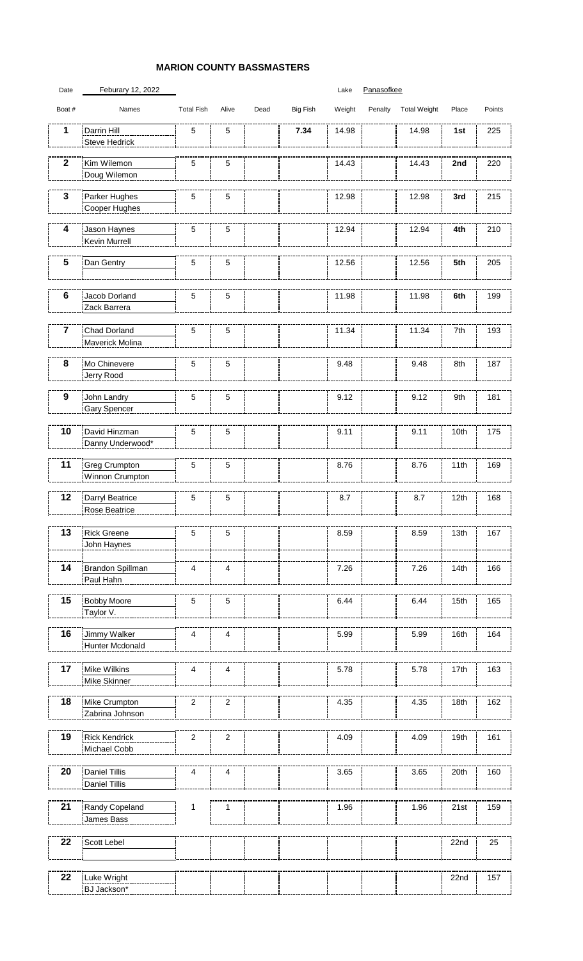## **MARION COUNTY BASSMASTERS**

## Date Feburary 12, 2022 and the Canal Control of the Panasofkee

| Boat #                  | Names                                        | <b>Total Fish</b> | Alive                   | Dead | Big Fish | Weight | Penalty | <b>Total Weight</b> | Place | Points |
|-------------------------|----------------------------------------------|-------------------|-------------------------|------|----------|--------|---------|---------------------|-------|--------|
| 1                       | Darrin Hill<br>Steve Hedrick                 | 5                 | 5                       |      | 7.34     | 14.98  |         | 14.98               | 1st   | 225    |
| $\overline{\mathbf{2}}$ | Kim Wilemon<br>Doug Wilemon                  | 5                 | 5                       |      |          | 14.43  |         | 14.43               | 2nd   | 220    |
| $\mathbf{3}$            | Parker Hughes<br>Cooper Hughes               | 5                 | 5                       |      |          | 12.98  |         | 12.98               | 3rd   | 215    |
| 4                       | Jason Haynes<br>Kevin Murrell                | 5                 | $\mathbf 5$             |      |          | 12.94  |         | 12.94               | 4th   | 210    |
| 5                       | Dan Gentry                                   | 5                 | 5                       |      |          | 12.56  |         | 12.56               | 5th   | 205    |
| $\bf 6$                 | Jacob Dorland<br>Zack Barrera                | 5                 | 5                       |      |          | 11.98  |         | 11.98               | 6th   | 199    |
| 7                       | Chad Dorland<br>Maverick Molina              | 5                 | 5                       |      |          | 11.34  |         | 11.34               | 7th   | 193    |
| 8                       | Mo Chinevere<br>Jerry Rood                   | 5                 | 5                       |      |          | 9.48   |         | 9.48                | 8th   | 187    |
| $\boldsymbol{9}$        | John Landry<br>Gary Spencer                  | 5                 | 5                       |      |          | 9.12   |         | 9.12                | 9th   | 181    |
| 10                      | David Hinzman<br>Danny Underwood*            | 5                 | 5                       |      |          | 9.11   |         | 9.11                | 10th  | 175    |
| 11                      | Greg Crumpton<br>Winnon Crumpton             | 5                 | 5                       |      |          | 8.76   |         | 8.76                | 11th  | 169    |
| 12                      | Darryl Beatrice<br>Rose Beatrice             | 5                 | 5                       |      |          | 8.7    |         | 8.7                 | 12th  | 168    |
| 13                      | <b>Rick Greene</b><br>John Haynes            | 5                 | 5                       |      |          | 8.59   |         | 8.59                | 13th  | 167    |
| 14                      | Brandon Spillman<br>Paul Hahn                | 4                 | $\overline{\mathbf{4}}$ |      |          | 7.26   |         | 7.26                | 14th  | 166    |
| 15                      | <b>Bobby Moore</b><br>Taylor V.              | 5                 | 5                       |      |          | 6.44   |         | 6.44                | 15th  | 165    |
| 16                      | Jimmy Walker<br>Hunter Mcdonald              | 4                 | 4                       |      |          | 5.99   |         | 5.99                | 16th  | 164    |
| 17                      | Mike Wilkins<br>Mike Skinner                 | 4                 | $\overline{\mathbf{4}}$ |      |          | 5.78   |         | 5.78                | 17th  | 163    |
| 18                      | Mike Crumpton<br>Zabrina Johnson             | $\boldsymbol{2}$  | $\sqrt{2}$              |      |          | 4.35   |         | 4.35                | 18th  | 162    |
| 19                      | <b>Rick Kendrick</b><br>Michael Cobb         | $\boldsymbol{2}$  | $\boldsymbol{2}$        |      |          | 4.09   |         | 4.09                | 19th  | 161    |
| 20                      | <b>Daniel Tillis</b><br><b>Daniel Tillis</b> | 4                 | $\overline{\mathbf{4}}$ |      |          | 3.65   |         | 3.65                | 20th  | 160    |
| 21                      | Randy Copeland<br>James Bass                 | 1                 | 1                       |      |          | 1.96   |         | 1.96                | 21st  | 159    |
| 22                      | Scott Lebel                                  |                   |                         |      |          |        |         |                     | 22nd  | 25     |
| 22                      | Luke Wright<br>BJ Jackson*                   |                   |                         |      |          |        |         |                     | 22nd  | 157    |